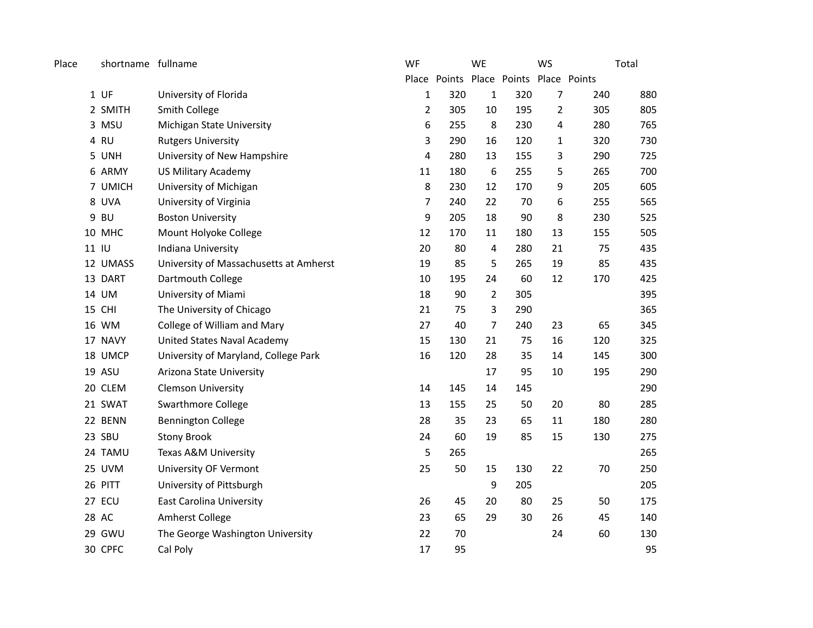| Place | shortname fullname |                                        | WF             |                                        | <b>WE</b>      |     | <b>WS</b>      |        | Total |
|-------|--------------------|----------------------------------------|----------------|----------------------------------------|----------------|-----|----------------|--------|-------|
|       |                    |                                        |                | Place Points Place Points Place Points |                |     |                |        |       |
|       | $1$ UF             | University of Florida                  | $\mathbf{1}$   | 320                                    | $\mathbf{1}$   | 320 | $\overline{7}$ | 240    | 880   |
|       | 2 SMITH            | Smith College                          | $\overline{2}$ | 305                                    | $10\,$         | 195 | $\overline{2}$ | 305    | 805   |
|       | 3 MSU              | Michigan State University              | 6              | 255                                    | 8              | 230 | 4              | 280    | 765   |
|       | 4 RU               | <b>Rutgers University</b>              | 3              | 290                                    | 16             | 120 | 1              | 320    | 730   |
|       | 5 UNH              | University of New Hampshire            | 4              | 280                                    | 13             | 155 | 3              | 290    | 725   |
|       | 6 ARMY             | <b>US Military Academy</b>             | 11             | 180                                    | 6              | 255 | 5              | 265    | 700   |
|       | 7 UMICH            | University of Michigan                 | 8              | 230                                    | 12             | 170 | 9              | 205    | 605   |
|       | 8 UVA              | University of Virginia                 | 7              | 240                                    | 22             | 70  | 6              | 255    | 565   |
|       | 9 BU               | <b>Boston University</b>               | 9              | 205                                    | 18             | 90  | 8              | 230    | 525   |
|       | 10 MHC             | Mount Holyoke College                  | 12             | 170                                    | 11             | 180 | 13             | 155    | 505   |
|       | 11 IU              | Indiana University                     | 20             | 80                                     | $\sqrt{4}$     | 280 | 21             | 75     | 435   |
|       | 12 UMASS           | University of Massachusetts at Amherst | 19             | 85                                     | 5              | 265 | 19             | 85     | 435   |
|       | 13 DART            | Dartmouth College                      | 10             | 195                                    | 24             | 60  | 12             | 170    | 425   |
|       | 14 UM              | University of Miami                    | 18             | 90                                     | $\overline{2}$ | 305 |                |        | 395   |
|       | 15 CHI             | The University of Chicago              | 21             | 75                                     | 3              | 290 |                |        | 365   |
|       | 16 WM              | College of William and Mary            | 27             | 40                                     | 7              | 240 | 23             | 65     | 345   |
|       | 17 NAVY            | United States Naval Academy            | 15             | 130                                    | 21             | 75  | 16             | 120    | 325   |
|       | 18 UMCP            | University of Maryland, College Park   | 16             | 120                                    | 28             | 35  | 14             | 145    | 300   |
|       | 19 ASU             | Arizona State University               |                |                                        | 17             | 95  | 10             | 195    | 290   |
|       | 20 CLEM            | <b>Clemson University</b>              | 14             | 145                                    | 14             | 145 |                |        | 290   |
|       | 21 SWAT            | Swarthmore College                     | 13             | 155                                    | 25             | 50  | 20             | 80     | 285   |
|       | 22 BENN            | <b>Bennington College</b>              | 28             | 35                                     | 23             | 65  | 11             | 180    | 280   |
|       | 23 SBU             | <b>Stony Brook</b>                     | 24             | 60                                     | 19             | 85  | 15             | 130    | 275   |
|       | 24 TAMU            | Texas A&M University                   | 5              | 265                                    |                |     |                |        | 265   |
|       | 25 UVM             | University OF Vermont                  | 25             | 50                                     | 15             | 130 | 22             | $70\,$ | 250   |
|       | 26 PITT            | University of Pittsburgh               |                |                                        | 9              | 205 |                |        | 205   |
|       | 27 ECU             | <b>East Carolina University</b>        | 26             | 45                                     | 20             | 80  | 25             | 50     | 175   |
|       | 28 AC              | Amherst College                        | 23             | 65                                     | 29             | 30  | 26             | 45     | 140   |
|       | 29 GWU             | The George Washington University       | 22             | 70                                     |                |     | 24             | 60     | 130   |
|       | 30 CPFC            | Cal Poly                               | 17             | 95                                     |                |     |                |        | 95    |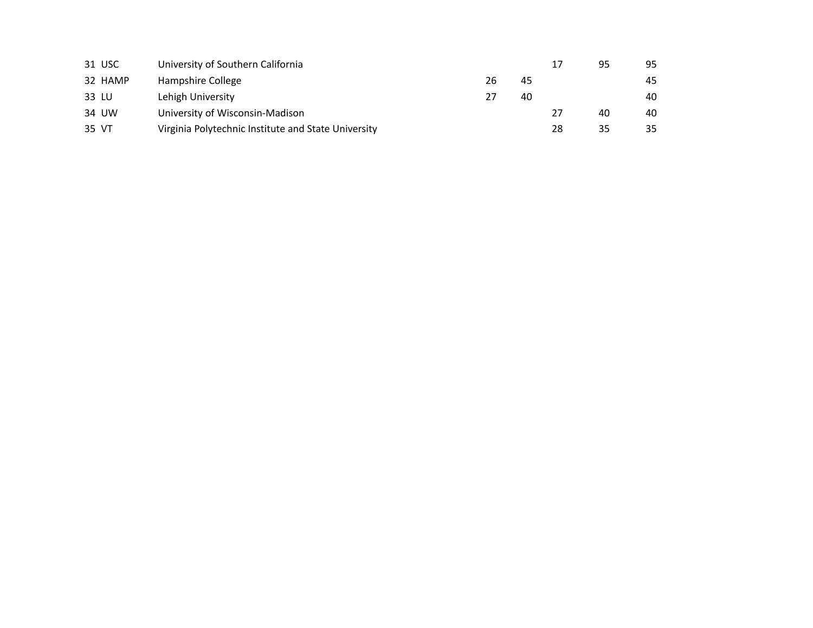|       | 31 USC  | University of Southern California                   |    |    |    | 95 | 95 |
|-------|---------|-----------------------------------------------------|----|----|----|----|----|
|       | 32 HAMP | Hampshire College                                   | 26 | 45 |    |    | 45 |
| 33 LU |         | Lehigh University                                   | 27 | 40 |    |    | 40 |
|       | 34 UW   | University of Wisconsin-Madison                     |    |    | 27 | 40 | 40 |
| 35 VT |         | Virginia Polytechnic Institute and State University |    |    | 28 | 35 | 35 |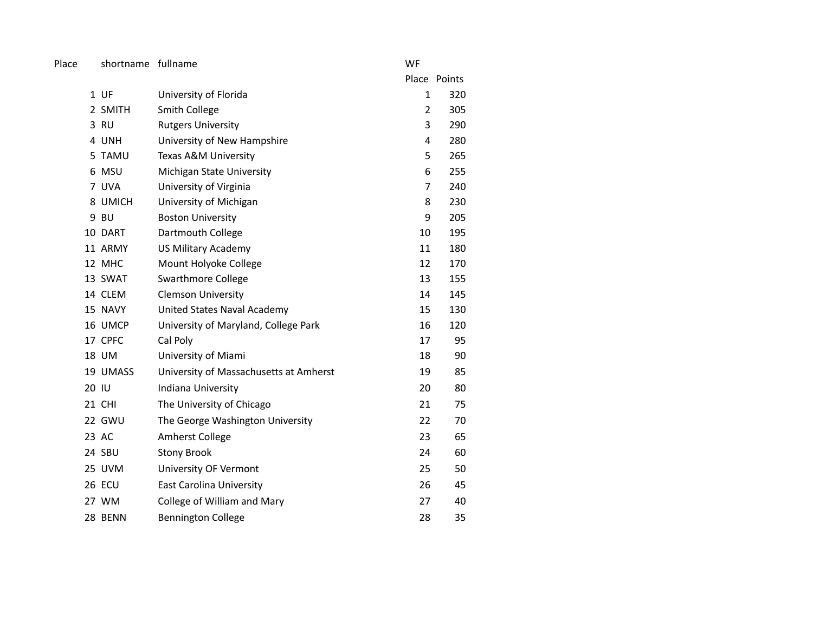Place shortname fullname **WF** 

|       |          |                                        |                | Place Points |
|-------|----------|----------------------------------------|----------------|--------------|
|       | 1 UF     | University of Florida                  | $\mathbf{1}$   | 320          |
|       | 2 SMITH  | <b>Smith College</b>                   | 2              | 305          |
|       | 3 RU     | <b>Rutgers University</b>              | 3              | 290          |
|       | 4 UNH    | University of New Hampshire            | 4              | 280          |
|       | 5 TAMU   | Texas A&M University                   | 5              | 265          |
|       | 6 MSU    | Michigan State University              | 6              | 255          |
|       | 7 UVA    | University of Virginia                 | $\overline{7}$ | 240          |
|       | 8 UMICH  | University of Michigan                 | 8              | 230          |
|       | 9 BU     | <b>Boston University</b>               | 9              | 205          |
|       | 10 DART  | Dartmouth College                      | 10             | 195          |
|       | 11 ARMY  | <b>US Military Academy</b>             | 11             | 180          |
|       | 12 MHC   | Mount Holyoke College                  | 12             | 170          |
|       | 13 SWAT  | Swarthmore College                     | 13             | 155          |
|       | 14 CLEM  | <b>Clemson University</b>              | 14             | 145          |
|       | 15 NAVY  | United States Naval Academy            | 15             | 130          |
|       | 16 UMCP  | University of Maryland, College Park   | 16             | 120          |
|       | 17 CPFC  | Cal Poly                               | 17             | 95           |
|       | 18 UM    | University of Miami                    | 18             | 90           |
|       | 19 UMASS | University of Massachusetts at Amherst | 19             | 85           |
| 20 IU |          | Indiana University                     | 20             | 80           |
|       | 21 CHI   | The University of Chicago              | 21             | 75           |
|       | 22 GWU   | The George Washington University       | 22             | 70           |
|       | 23 AC    | Amherst College                        | 23             | 65           |
|       | 24 SBU   | <b>Stony Brook</b>                     | 24             | 60           |
|       | 25 UVM   | University OF Vermont                  | 25             | 50           |
|       | 26 ECU   | East Carolina University               | 26             | 45           |
|       | 27 WM    | College of William and Mary            | 27             | 40           |
|       | 28 BENN  | <b>Bennington College</b>              | 28             | 35           |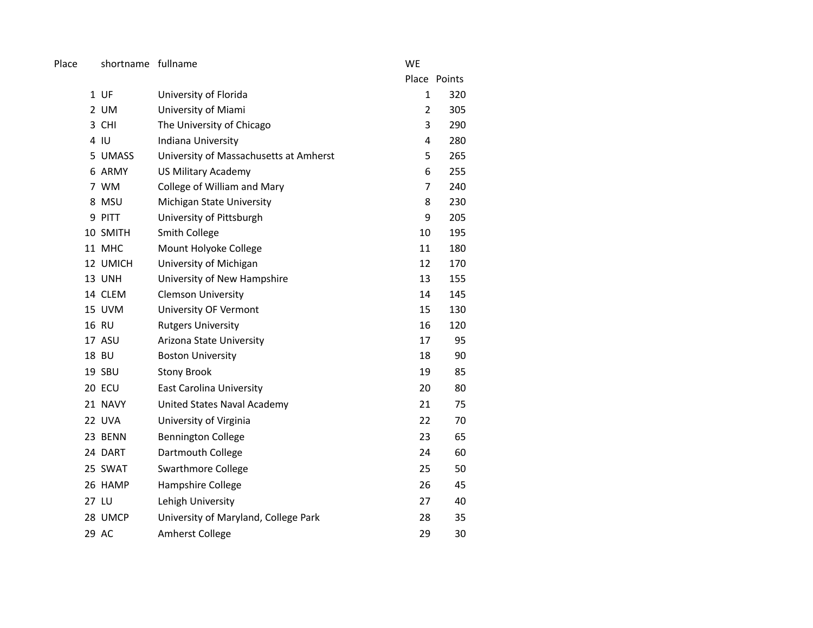Place shortname fullname **WE** 

|          |                                        |                | Place Points |
|----------|----------------------------------------|----------------|--------------|
| 1 UF     | University of Florida                  | $\mathbf{1}$   | 320          |
| 2 UM     | University of Miami                    | $\overline{2}$ | 305          |
| 3 CHI    | The University of Chicago              | 3              | 290          |
| 4 IU     | Indiana University                     | 4              | 280          |
| 5 UMASS  | University of Massachusetts at Amherst | 5              | 265          |
| 6 ARMY   | <b>US Military Academy</b>             | 6              | 255          |
| 7 WM     | College of William and Mary            | 7              | 240          |
| 8 MSU    | Michigan State University              | 8              | 230          |
| 9 PITT   | University of Pittsburgh               | 9              | 205          |
| 10 SMITH | <b>Smith College</b>                   | 10             | 195          |
| 11 MHC   | Mount Holyoke College                  | 11             | 180          |
| 12 UMICH | University of Michigan                 | 12             | 170          |
| 13 UNH   | University of New Hampshire            | 13             | 155          |
| 14 CLEM  | <b>Clemson University</b>              | 14             | 145          |
| 15 UVM   | University OF Vermont                  | 15             | 130          |
| 16 RU    | <b>Rutgers University</b>              | 16             | 120          |
| 17 ASU   | Arizona State University               | 17             | 95           |
| 18 BU    | <b>Boston University</b>               | 18             | 90           |
| 19 SBU   | <b>Stony Brook</b>                     | 19             | 85           |
| 20 ECU   | East Carolina University               | 20             | 80           |
| 21 NAVY  | United States Naval Academy            | 21             | 75           |
| 22 UVA   | University of Virginia                 | 22             | 70           |
| 23 BENN  | <b>Bennington College</b>              | 23             | 65           |
| 24 DART  | Dartmouth College                      | 24             | 60           |
| 25 SWAT  | Swarthmore College                     | 25             | 50           |
| 26 HAMP  | Hampshire College                      | 26             | 45           |
| 27 LU    | Lehigh University                      | 27             | 40           |
| 28 UMCP  | University of Maryland, College Park   | 28             | 35           |
| 29 AC    | <b>Amherst College</b>                 | 29             | 30           |
|          |                                        |                |              |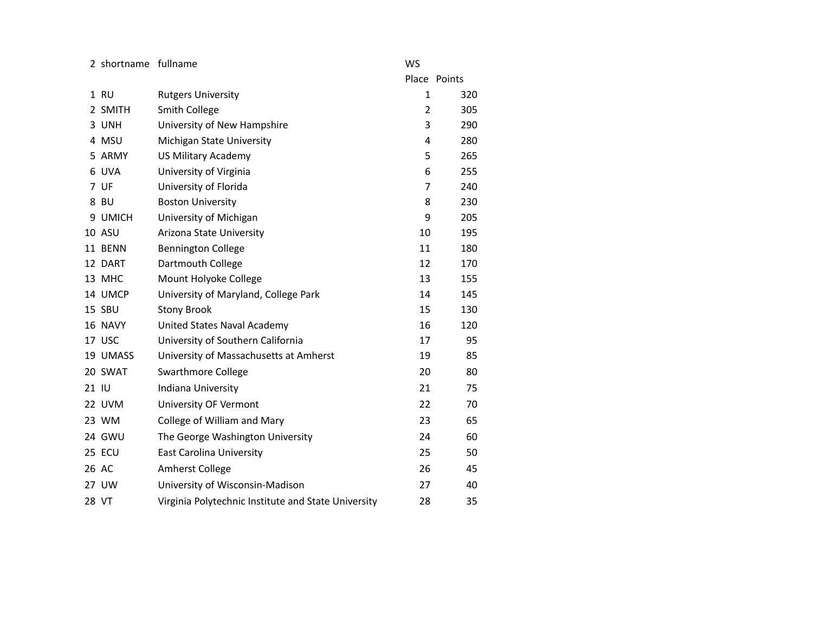2 shortname fullname **WS** 

|       |          |                                                     |    | Place Points |
|-------|----------|-----------------------------------------------------|----|--------------|
|       | 1 RU     | <b>Rutgers University</b>                           | 1  | 320          |
|       | 2 SMITH  | <b>Smith College</b>                                | 2  | 305          |
|       | 3 UNH    | University of New Hampshire                         | 3  | 290          |
|       | 4 MSU    | Michigan State University                           | 4  | 280          |
|       | 5 ARMY   | <b>US Military Academy</b>                          | 5  | 265          |
|       | 6 UVA    | University of Virginia                              | 6  | 255          |
|       | 7 UF     | University of Florida                               | 7  | 240          |
|       | 8 BU     | <b>Boston University</b>                            | 8  | 230          |
|       | 9 UMICH  | University of Michigan                              | 9  | 205          |
|       | 10 ASU   | Arizona State University                            | 10 | 195          |
|       | 11 BENN  | <b>Bennington College</b>                           | 11 | 180          |
|       | 12 DART  | Dartmouth College                                   | 12 | 170          |
|       | 13 MHC   | Mount Holyoke College                               | 13 | 155          |
|       | 14 UMCP  | University of Maryland, College Park                | 14 | 145          |
|       | 15 SBU   | <b>Stony Brook</b>                                  | 15 | 130          |
|       | 16 NAVY  | United States Naval Academy                         | 16 | 120          |
|       | 17 USC   | University of Southern California                   | 17 | 95           |
|       | 19 UMASS | University of Massachusetts at Amherst              | 19 | 85           |
|       | 20 SWAT  | <b>Swarthmore College</b>                           | 20 | 80           |
| 21 IU |          | Indiana University                                  | 21 | 75           |
|       | 22 UVM   | <b>University OF Vermont</b>                        | 22 | 70           |
|       | 23 WM    | College of William and Mary                         | 23 | 65           |
|       | 24 GWU   | The George Washington University                    | 24 | 60           |
|       | 25 ECU   | <b>East Carolina University</b>                     | 25 | 50           |
|       | 26 AC    | <b>Amherst College</b>                              | 26 | 45           |
|       | 27 UW    | University of Wisconsin-Madison                     | 27 | 40           |
|       | 28 VT    | Virginia Polytechnic Institute and State University | 28 | 35           |
|       |          |                                                     |    |              |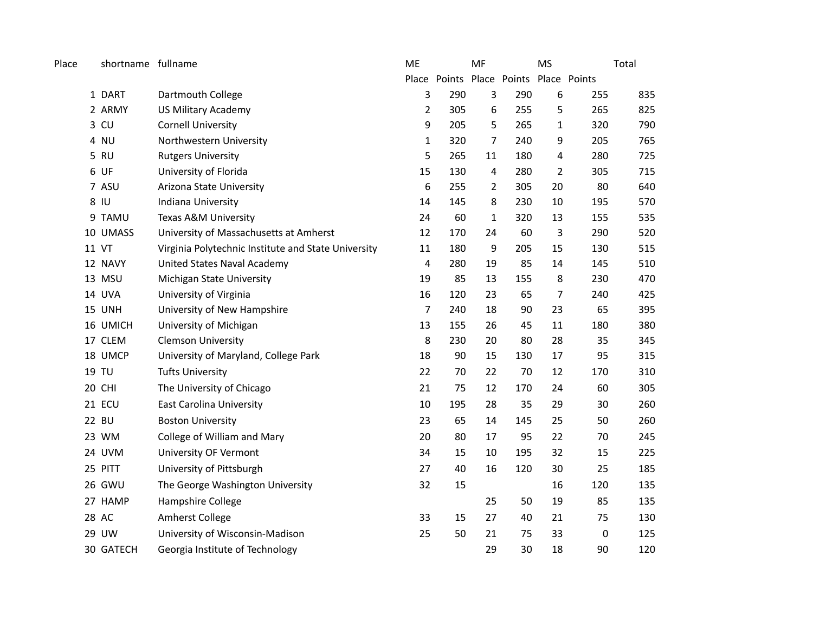| Place | shortname fullname |                                                     | ME             |                                        | MF             |     | <b>MS</b>      |           | Total |
|-------|--------------------|-----------------------------------------------------|----------------|----------------------------------------|----------------|-----|----------------|-----------|-------|
|       |                    |                                                     |                | Place Points Place Points Place Points |                |     |                |           |       |
|       | 1 DART             | Dartmouth College                                   | 3              | 290                                    | $\overline{3}$ | 290 | 6              | 255       | 835   |
|       | 2 ARMY             | <b>US Military Academy</b>                          | $\overline{2}$ | 305                                    | 6              | 255 | 5              | 265       | 825   |
|       | 3 CU               | <b>Cornell University</b>                           | 9              | 205                                    | 5              | 265 | $\mathbf{1}$   | 320       | 790   |
|       | 4 NU               | Northwestern University                             | 1              | 320                                    | $\overline{7}$ | 240 | 9              | 205       | 765   |
|       | 5 RU               | <b>Rutgers University</b>                           | 5              | 265                                    | 11             | 180 | 4              | 280       | 725   |
|       | 6 UF               | University of Florida                               | 15             | 130                                    | 4              | 280 | $\overline{2}$ | 305       | 715   |
|       | 7 ASU              | Arizona State University                            | 6              | 255                                    | $\overline{2}$ | 305 | 20             | 80        | 640   |
|       | 8 IU               | Indiana University                                  | 14             | 145                                    | 8              | 230 | 10             | 195       | 570   |
|       | 9 TAMU             | Texas A&M University                                | 24             | 60                                     | $\mathbf{1}$   | 320 | 13             | 155       | 535   |
|       | 10 UMASS           | University of Massachusetts at Amherst              | 12             | 170                                    | 24             | 60  | 3              | 290       | 520   |
|       | 11 VT              | Virginia Polytechnic Institute and State University | 11             | 180                                    | 9              | 205 | 15             | 130       | 515   |
|       | 12 NAVY            | United States Naval Academy                         | $\overline{4}$ | 280                                    | 19             | 85  | 14             | 145       | 510   |
|       | 13 MSU             | Michigan State University                           | 19             | 85                                     | 13             | 155 | 8              | 230       | 470   |
|       | 14 UVA             | University of Virginia                              | 16             | 120                                    | 23             | 65  | 7              | 240       | 425   |
|       | 15 UNH             | University of New Hampshire                         | $\overline{7}$ | 240                                    | 18             | 90  | 23             | 65        | 395   |
|       | 16 UMICH           | University of Michigan                              | 13             | 155                                    | 26             | 45  | 11             | 180       | 380   |
|       | 17 CLEM            | <b>Clemson University</b>                           | 8              | 230                                    | 20             | 80  | 28             | 35        | 345   |
|       | 18 UMCP            | University of Maryland, College Park                | 18             | 90                                     | 15             | 130 | 17             | 95        | 315   |
|       | 19 TU              | <b>Tufts University</b>                             | 22             | 70                                     | 22             | 70  | 12             | 170       | 310   |
|       | 20 CHI             | The University of Chicago                           | 21             | 75                                     | 12             | 170 | 24             | 60        | 305   |
|       | 21 ECU             | <b>East Carolina University</b>                     | 10             | 195                                    | 28             | 35  | 29             | 30        | 260   |
|       | 22 BU              | <b>Boston University</b>                            | 23             | 65                                     | 14             | 145 | 25             | 50        | 260   |
|       | 23 WM              | College of William and Mary                         | 20             | 80                                     | 17             | 95  | 22             | 70        | 245   |
|       | 24 UVM             | <b>University OF Vermont</b>                        | 34             | 15                                     | 10             | 195 | 32             | 15        | 225   |
|       | 25 PITT            | University of Pittsburgh                            | 27             | 40                                     | 16             | 120 | 30             | 25        | 185   |
|       | 26 GWU             | The George Washington University                    | 32             | 15                                     |                |     | 16             | 120       | 135   |
|       | 27 HAMP            | Hampshire College                                   |                |                                        | 25             | 50  | 19             | 85        | 135   |
|       | 28 AC              | Amherst College                                     | 33             | 15                                     | 27             | 40  | 21             | 75        | 130   |
|       | 29 UW              | University of Wisconsin-Madison                     | 25             | 50                                     | 21             | 75  | 33             | $\pmb{0}$ | 125   |
|       | 30 GATECH          | Georgia Institute of Technology                     |                |                                        | 29             | 30  | 18             | 90        | 120   |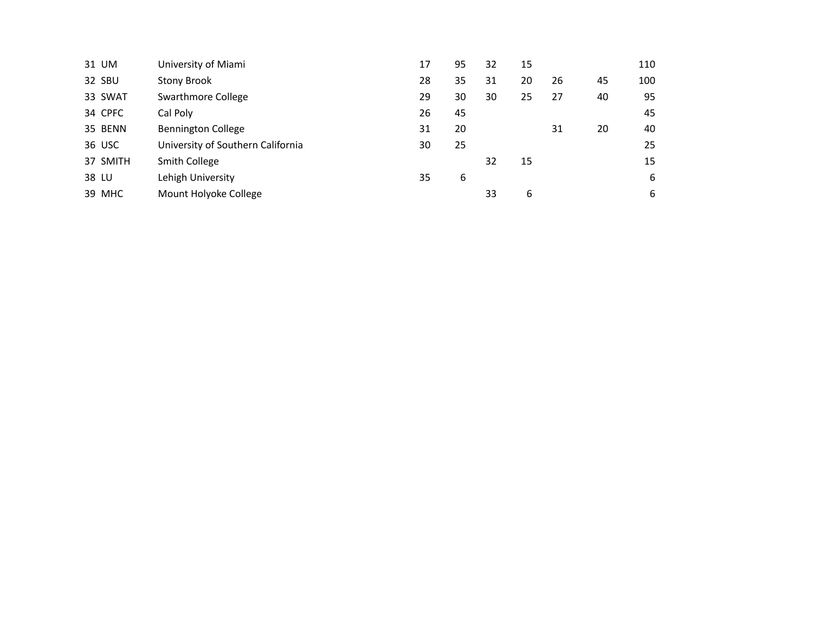| 31 UM    | University of Miami               | 17 | 95 | 32 | 15 |    |    | 110 |
|----------|-----------------------------------|----|----|----|----|----|----|-----|
| 32 SBU   | Stony Brook                       | 28 | 35 | 31 | 20 | 26 | 45 | 100 |
| 33 SWAT  | Swarthmore College                | 29 | 30 | 30 | 25 | 27 | 40 | 95  |
| 34 CPFC  | Cal Poly                          | 26 | 45 |    |    |    |    | 45  |
| 35 BENN  | <b>Bennington College</b>         | 31 | 20 |    |    | 31 | 20 | 40  |
| 36 USC   | University of Southern California | 30 | 25 |    |    |    |    | 25  |
| 37 SMITH | Smith College                     |    |    | 32 | 15 |    |    | 15  |
| 38 LU    | Lehigh University                 | 35 | 6  |    |    |    |    | 6   |
| 39 MHC   | Mount Holyoke College             |    |    | 33 | 6  |    |    | 6   |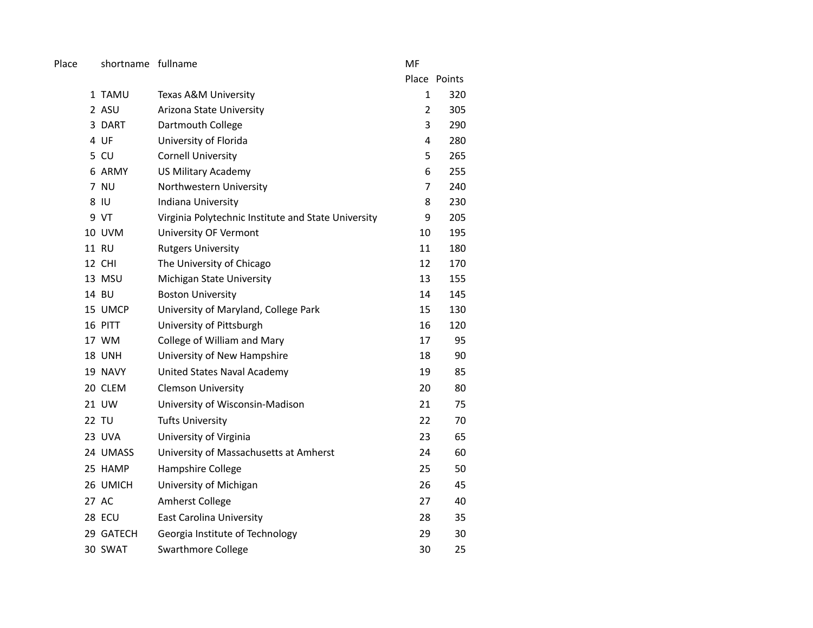Place shortname fullname metals are made a metal of MF

|               |                                                     |                | Place Points |
|---------------|-----------------------------------------------------|----------------|--------------|
| 1 TAMU        | Texas A&M University                                | $\mathbf{1}$   | 320          |
| 2 ASU         | Arizona State University                            | $\overline{2}$ | 305          |
| 3 DART        | Dartmouth College                                   | 3              | 290          |
| 4 UF          | University of Florida                               | 4              | 280          |
| 5 CU          | <b>Cornell University</b>                           | 5              | 265          |
| 6 ARMY        | <b>US Military Academy</b>                          | 6              | 255          |
| 7 NU          | Northwestern University                             | 7              | 240          |
| 8 IU          | Indiana University                                  | 8              | 230          |
| 9 VT          | Virginia Polytechnic Institute and State University | 9              | 205          |
| <b>10 UVM</b> | University OF Vermont                               | 10             | 195          |
| 11 RU         | <b>Rutgers University</b>                           | 11             | 180          |
| 12 CHI        | The University of Chicago                           | 12             | 170          |
| 13 MSU        | Michigan State University                           | 13             | 155          |
| 14 BU         | <b>Boston University</b>                            | 14             | 145          |
| 15 UMCP       | University of Maryland, College Park                | 15             | 130          |
| 16 PITT       | University of Pittsburgh                            | 16             | 120          |
| 17 WM         | College of William and Mary                         | 17             | 95           |
| 18 UNH        | University of New Hampshire                         | 18             | 90           |
| 19 NAVY       | United States Naval Academy                         | 19             | 85           |
| 20 CLEM       | <b>Clemson University</b>                           | 20             | 80           |
| 21 UW         | University of Wisconsin-Madison                     | 21             | 75           |
| 22 TU         | <b>Tufts University</b>                             | 22             | 70           |
| 23 UVA        | University of Virginia                              | 23             | 65           |
| 24 UMASS      | University of Massachusetts at Amherst              | 24             | 60           |
| 25 HAMP       | Hampshire College                                   | 25             | 50           |
| 26 UMICH      | University of Michigan                              | 26             | 45           |
| 27 AC         | Amherst College                                     | 27             | 40           |
| 28 ECU        | <b>East Carolina University</b>                     | 28             | 35           |
| 29 GATECH     | Georgia Institute of Technology                     | 29             | 30           |
| 30 SWAT       | <b>Swarthmore College</b>                           | 30             | 25           |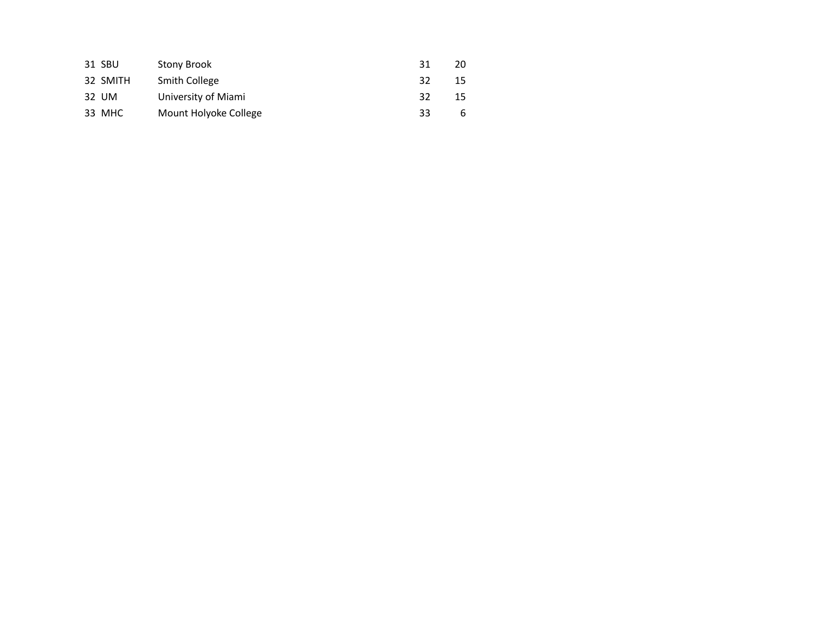| 31 SBU   | <b>Stony Brook</b>    | 31  | 20 |
|----------|-----------------------|-----|----|
| 32 SMITH | <b>Smith College</b>  | -32 | 15 |
| 32 UM    | University of Miami   | 32  | 15 |
| 33 MHC   | Mount Holyoke College | 33  | h  |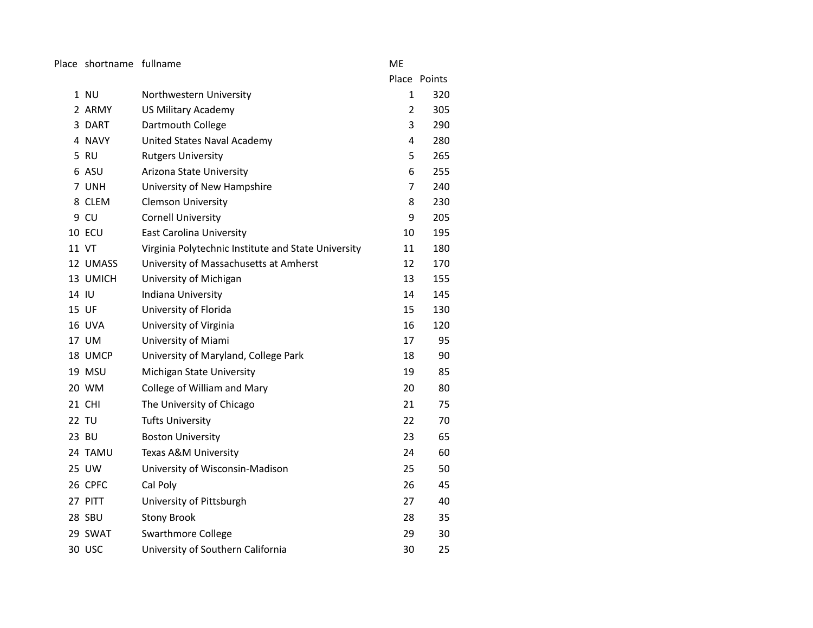Place shortname fullname **ME** 

Place Points 1 NU Northwestern University 1 320 2 ARMY US Military Academy 2 305 3 DART Dartmouth College 3 290 4 NAVY United States Naval Academy 14 280 5 RU Rutgers University 5 265 6 ASU Arizona State University 6 255 7 UNH University of New Hampshire 7 240 8 CLEM Clemson University 8 230 9 CU Cornell University **9 205** 10 ECU East Carolina University 10 195 11 VT Virginia Polytechnic Institute and State University 11 180 12 UMASS University of Massachusetts at Amherst 12 170 13 UMICH University of Michigan 13 155 14 IU Indiana University 14 145 15 UF University of Florida 15 130 16 UVA University of Virginia 16 120 17 UM University of Miami 17 17 95 18 UMCP University of Maryland, College Park 18 18 90 19 MSU Michigan State University 19 MSU 19 85 20 WM College of William and Mary 20 20 80 21 CHI The University of Chicago 21 75 22 TU Tufts University 22 70 23 BU Boston University 23 65 24 TAMU Texas A&M University 24 60 25 UW University of Wisconsin-Madison 25 25 50 26 CPFC Cal Poly 26 26 45 27 PITT University of Pittsburgh 27 27 40 28 SBU Stony Brook 28 35 29 SWAT Swarthmore College 29 29 30 30 USC University of Southern California 30 25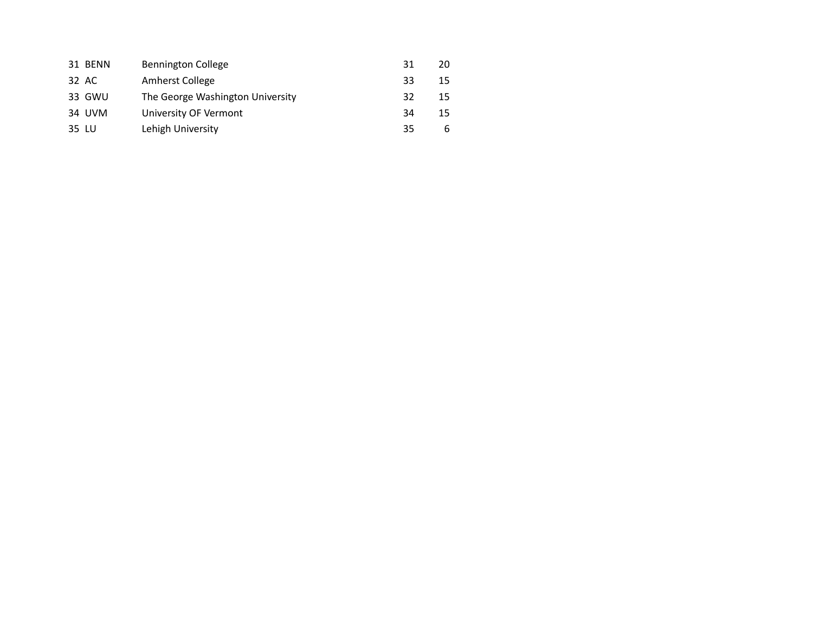|       | 31 BENN | <b>Bennington College</b>        | 31 | 20 |
|-------|---------|----------------------------------|----|----|
|       | 32 AC   | Amherst College                  | 33 | 15 |
|       | 33 GWU  | The George Washington University | 32 | 15 |
|       | 34 UVM  | University OF Vermont            | 34 | 15 |
| 35 LU |         | Lehigh University                | 35 | b  |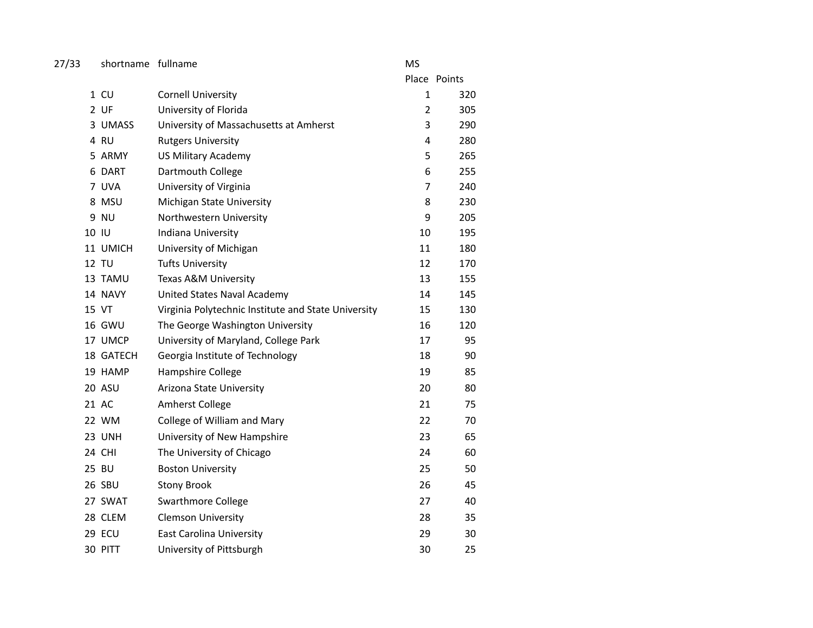| 27/33<br>shortname fullname |  | MS |
|-----------------------------|--|----|
|-----------------------------|--|----|

|               |                                                     |                | Place Points |
|---------------|-----------------------------------------------------|----------------|--------------|
| $1$ CU        | <b>Cornell University</b>                           | $\mathbf{1}$   | 320          |
| 2 UF          | University of Florida                               | $\overline{2}$ | 305          |
| 3 UMASS       | University of Massachusetts at Amherst              | 3              | 290          |
| 4 RU          | <b>Rutgers University</b>                           | 4              | 280          |
| 5 ARMY        | <b>US Military Academy</b>                          | 5              | 265          |
| 6 DART        | Dartmouth College                                   | 6              | 255          |
| 7 UVA         | University of Virginia                              | $\overline{7}$ | 240          |
| 8 MSU         | Michigan State University                           | 8              | 230          |
| 9 NU          | Northwestern University                             | 9              | 205          |
| 10 IU         | Indiana University                                  | 10             | 195          |
| 11 UMICH      | University of Michigan                              | 11             | 180          |
| 12 TU         | <b>Tufts University</b>                             | 12             | 170          |
| 13 TAMU       | Texas A&M University                                | 13             | 155          |
| 14 NAVY       | United States Naval Academy                         | 14             | 145          |
| 15 VT         | Virginia Polytechnic Institute and State University | 15             | 130          |
| <b>16 GWU</b> | The George Washington University                    | 16             | 120          |
| 17 UMCP       | University of Maryland, College Park                | 17             | 95           |
| 18 GATECH     | Georgia Institute of Technology                     | 18             | 90           |
| 19 HAMP       | Hampshire College                                   | 19             | 85           |
| 20 ASU        | Arizona State University                            | 20             | 80           |
| 21 AC         | Amherst College                                     | 21             | 75           |
| 22 WM         | College of William and Mary                         | 22             | 70           |
| 23 UNH        | University of New Hampshire                         | 23             | 65           |
| 24 CHI        | The University of Chicago                           | 24             | 60           |
| 25 BU         | <b>Boston University</b>                            | 25             | 50           |
| 26 SBU        | <b>Stony Brook</b>                                  | 26             | 45           |
| 27 SWAT       | Swarthmore College                                  | 27             | 40           |
| 28 CLEM       | <b>Clemson University</b>                           | 28             | 35           |
| 29 ECU        | <b>East Carolina University</b>                     | 29             | 30           |
| 30 PITT       | University of Pittsburgh                            | 30             | 25           |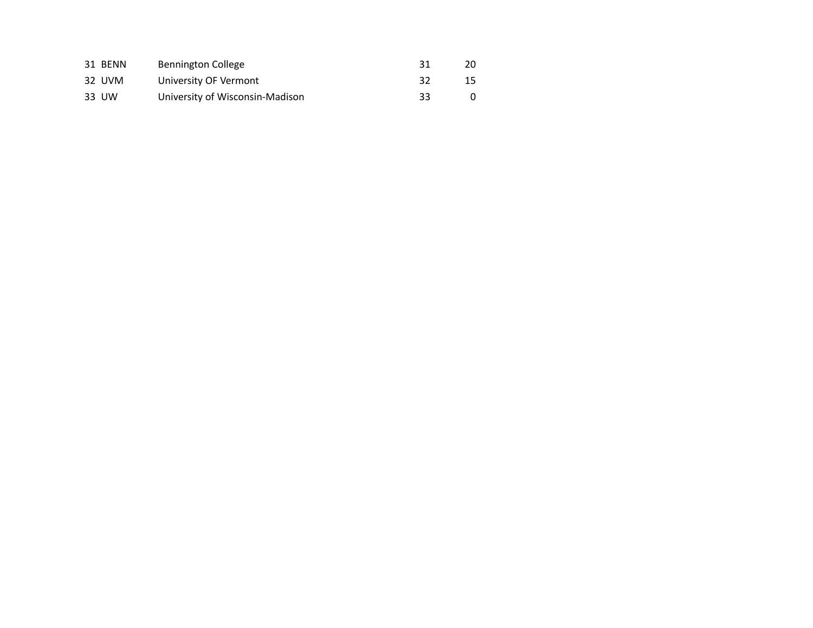| 31 BENN | Bennington College              | 31 | 20 |
|---------|---------------------------------|----|----|
| 32 UVM  | University OF Vermont           | 32 | 15 |
| 33 UW   | University of Wisconsin-Madison | 33 |    |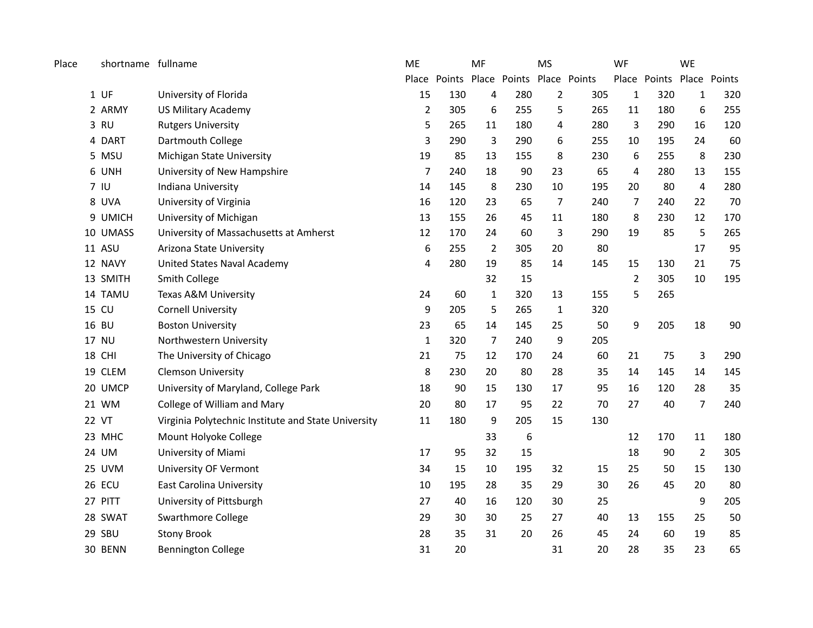| Place | shortname fullname |                                                     | ME               | MF                                     |                |     | <b>MS</b>      |     | WF           |                           | <b>WE</b>      |     |
|-------|--------------------|-----------------------------------------------------|------------------|----------------------------------------|----------------|-----|----------------|-----|--------------|---------------------------|----------------|-----|
|       |                    |                                                     |                  | Place Points Place Points Place Points |                |     |                |     |              | Place Points Place Points |                |     |
|       | $1$ UF             | University of Florida                               | 15               | 130                                    | 4              | 280 | $\overline{2}$ | 305 | $\mathbf{1}$ | 320                       | $\mathbf{1}$   | 320 |
|       | 2 ARMY             | <b>US Military Academy</b>                          | $\overline{2}$   | 305                                    | 6              | 255 | 5              | 265 | 11           | 180                       | 6              | 255 |
|       | 3 RU               | <b>Rutgers University</b>                           | 5                | 265                                    | 11             | 180 | 4              | 280 | 3            | 290                       | 16             | 120 |
|       | 4 DART             | Dartmouth College                                   | 3                | 290                                    | 3              | 290 | 6              | 255 | 10           | 195                       | 24             | 60  |
|       | 5 MSU              | Michigan State University                           | 19               | 85                                     | 13             | 155 | 8              | 230 | 6            | 255                       | 8              | 230 |
|       | 6 UNH              | University of New Hampshire                         | $\overline{7}$   | 240                                    | 18             | 90  | 23             | 65  | 4            | 280                       | 13             | 155 |
|       | 7 <sub>10</sub>    | Indiana University                                  | 14               | 145                                    | 8              | 230 | 10             | 195 | 20           | 80                        | $\pmb{4}$      | 280 |
|       | 8 UVA              | University of Virginia                              | 16               | 120                                    | 23             | 65  | 7              | 240 | 7            | 240                       | 22             | 70  |
|       | 9 UMICH            | University of Michigan                              | 13               | 155                                    | 26             | 45  | 11             | 180 | 8            | 230                       | 12             | 170 |
|       | 10 UMASS           | University of Massachusetts at Amherst              | 12               | 170                                    | 24             | 60  | 3              | 290 | 19           | 85                        | 5              | 265 |
|       | <b>11 ASU</b>      | Arizona State University                            | $\boldsymbol{6}$ | 255                                    | 2              | 305 | 20             | 80  |              |                           | 17             | 95  |
|       | 12 NAVY            | United States Naval Academy                         | 4                | 280                                    | 19             | 85  | 14             | 145 | 15           | 130                       | 21             | 75  |
|       | 13 SMITH           | Smith College                                       |                  |                                        | 32             | 15  |                |     | 2            | 305                       | 10             | 195 |
|       | 14 TAMU            | Texas A&M University                                | 24               | 60                                     | $\mathbf{1}$   | 320 | 13             | 155 | 5            | 265                       |                |     |
| 15    | CU                 | <b>Cornell University</b>                           | 9                | 205                                    | 5              | 265 | $\mathbf{1}$   | 320 |              |                           |                |     |
|       | 16 BU              | <b>Boston University</b>                            | 23               | 65                                     | 14             | 145 | 25             | 50  | 9            | 205                       | 18             | 90  |
| 17    | <b>NU</b>          | Northwestern University                             | $\mathbf 1$      | 320                                    | $\overline{7}$ | 240 | 9              | 205 |              |                           |                |     |
|       | <b>18 CHI</b>      | The University of Chicago                           | 21               | 75                                     | 12             | 170 | 24             | 60  | 21           | 75                        | 3              | 290 |
|       | 19 CLEM            | <b>Clemson University</b>                           | 8                | 230                                    | 20             | 80  | 28             | 35  | 14           | 145                       | 14             | 145 |
| 20    | <b>UMCP</b>        | University of Maryland, College Park                | 18               | 90                                     | 15             | 130 | 17             | 95  | 16           | 120                       | 28             | 35  |
|       | 21 WM              | College of William and Mary                         | 20               | 80                                     | 17             | 95  | 22             | 70  | 27           | 40                        | 7              | 240 |
|       | 22 VT              | Virginia Polytechnic Institute and State University | 11               | 180                                    | 9              | 205 | 15             | 130 |              |                           |                |     |
|       | 23 MHC             | Mount Holyoke College                               |                  |                                        | 33             | 6   |                |     | 12           | 170                       | 11             | 180 |
|       | 24 UM              | University of Miami                                 | 17               | 95                                     | 32             | 15  |                |     | 18           | 90                        | $\overline{2}$ | 305 |
| 25    | <b>UVM</b>         | <b>University OF Vermont</b>                        | 34               | 15                                     | 10             | 195 | 32             | 15  | 25           | 50                        | 15             | 130 |
|       | 26 ECU             | <b>East Carolina University</b>                     | 10               | 195                                    | 28             | 35  | 29             | 30  | 26           | 45                        | 20             | 80  |
|       | 27 PITT            | University of Pittsburgh                            | 27               | 40                                     | 16             | 120 | 30             | 25  |              |                           | 9              | 205 |
|       | 28 SWAT            | Swarthmore College                                  | 29               | 30                                     | 30             | 25  | 27             | 40  | 13           | 155                       | 25             | 50  |
|       | 29 SBU             | <b>Stony Brook</b>                                  | 28               | 35                                     | 31             | 20  | 26             | 45  | 24           | 60                        | 19             | 85  |
|       | 30 BENN            | <b>Bennington College</b>                           | 31               | 20                                     |                |     | 31             | 20  | 28           | 35                        | 23             | 65  |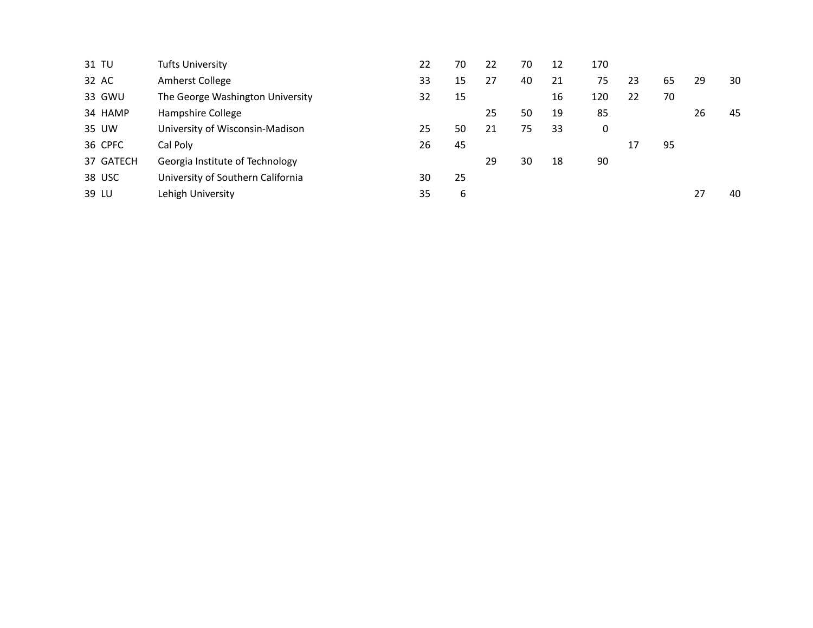| 31 TU     | Tufts University                  | 22 | 70 | 22 | 70 | 12 | 170 |    |    |    |    |
|-----------|-----------------------------------|----|----|----|----|----|-----|----|----|----|----|
| 32 AC     | Amherst College                   | 33 | 15 | 27 | 40 | 21 | 75  | 23 | 65 | 29 | 30 |
| 33 GWU    | The George Washington University  | 32 | 15 |    |    | 16 | 120 | 22 | 70 |    |    |
| 34 HAMP   | Hampshire College                 |    |    | 25 | 50 | 19 | 85  |    |    | 26 | 45 |
| 35 UW     | University of Wisconsin-Madison   | 25 | 50 | 21 | 75 | 33 | 0   |    |    |    |    |
| 36 CPFC   | Cal Poly                          | 26 | 45 |    |    |    |     | 17 | 95 |    |    |
| 37 GATECH | Georgia Institute of Technology   |    |    | 29 | 30 | 18 | 90  |    |    |    |    |
| 38 USC    | University of Southern California | 30 | 25 |    |    |    |     |    |    |    |    |
| 39 LU     | Lehigh University                 | 35 | b  |    |    |    |     |    |    | 27 | 40 |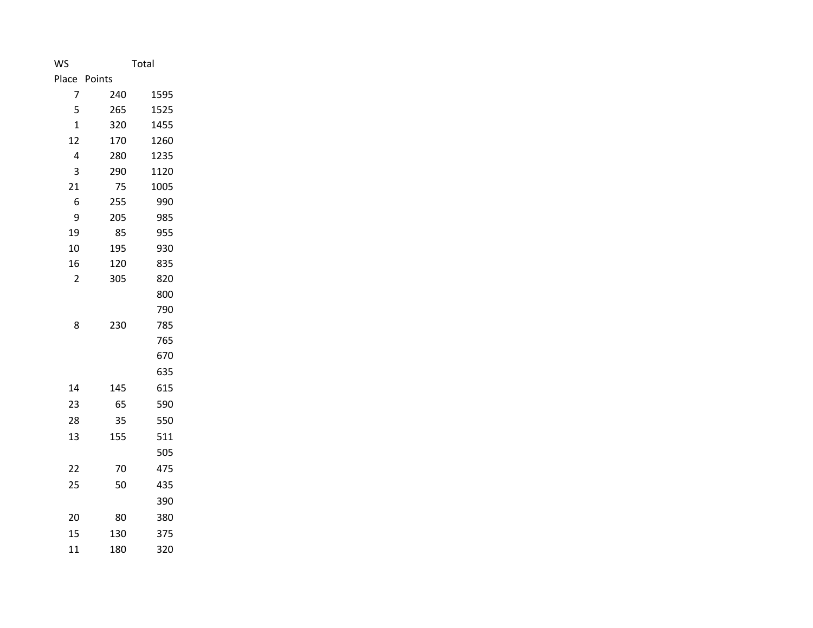| WS             | Total  |      |  |  |  |
|----------------|--------|------|--|--|--|
| Place          | Points |      |  |  |  |
| 7              | 240    | 1595 |  |  |  |
| 5              | 265    | 1525 |  |  |  |
| 1              | 320    | 1455 |  |  |  |
| 12             | 170    | 1260 |  |  |  |
| 4              | 280    | 1235 |  |  |  |
| 3              | 290    | 1120 |  |  |  |
| 21             | 75     | 1005 |  |  |  |
| 6              | 255    | 990  |  |  |  |
| 9              | 205    | 985  |  |  |  |
| 19             | 85     | 955  |  |  |  |
| 10             | 195    | 930  |  |  |  |
| 16             | 120    | 835  |  |  |  |
| $\overline{2}$ | 305    | 820  |  |  |  |
|                |        | 800  |  |  |  |
|                |        | 790  |  |  |  |
| 8              | 230    | 785  |  |  |  |
|                |        | 765  |  |  |  |
|                |        | 670  |  |  |  |
|                |        | 635  |  |  |  |
| 14             | 145    | 615  |  |  |  |
| 23             | 65     | 590  |  |  |  |
| 28             | 35     | 550  |  |  |  |
| 13             | 155    | 511  |  |  |  |
|                |        | 505  |  |  |  |
| 22             | 70     | 475  |  |  |  |
| 25             | 50     | 435  |  |  |  |
|                |        | 390  |  |  |  |
| 20             | 80     | 380  |  |  |  |
| 15             | 130    | 375  |  |  |  |
| 11             | 180    | 320  |  |  |  |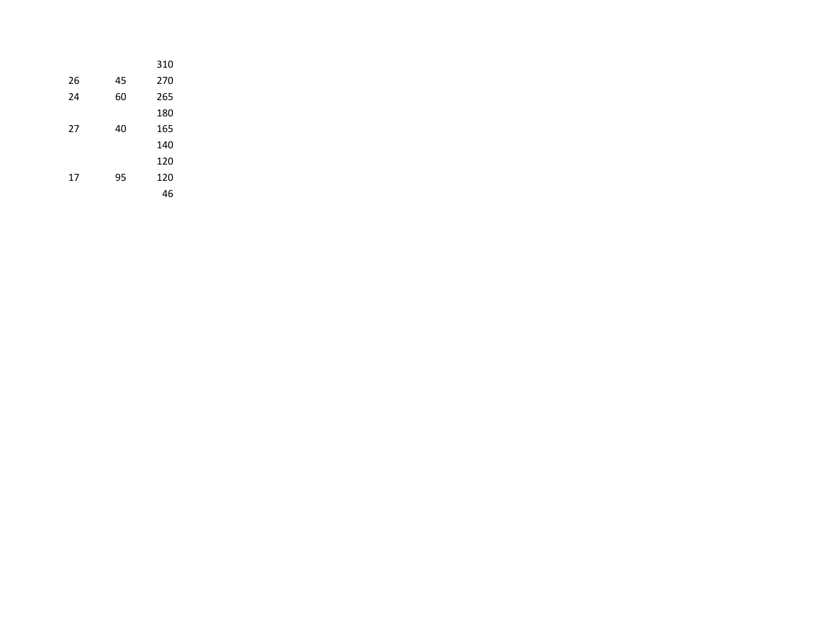|    |    | 310 |
|----|----|-----|
| 26 | 45 | 270 |
| 24 | 60 | 265 |
|    |    | 180 |
| 27 | 40 | 165 |
|    |    | 140 |
|    |    | 120 |
| 17 | 95 | 120 |
|    |    | 46  |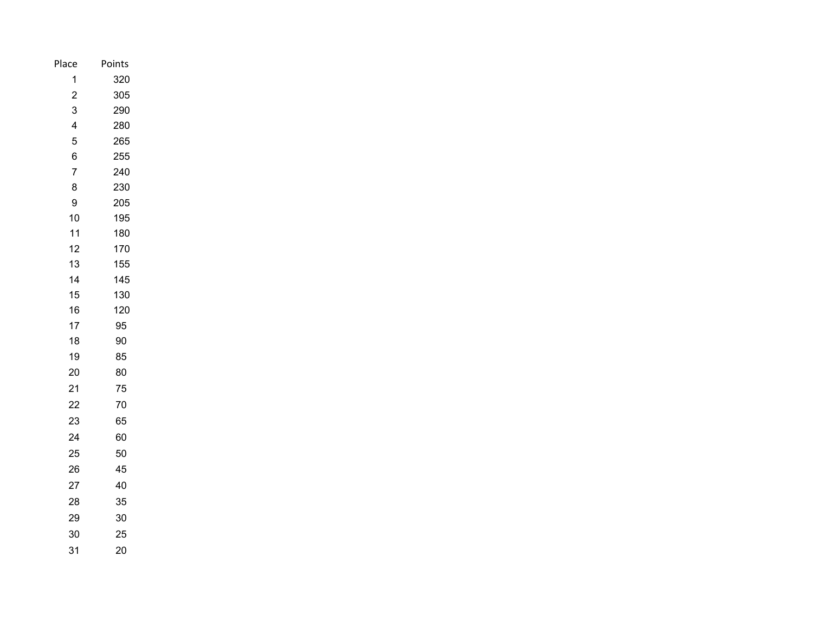| Place          | Points |
|----------------|--------|
| 1              | 320    |
| $\overline{c}$ | 305    |
| 3              | 290    |
| 4              | 280    |
| 5              | 265    |
| 6              | 255    |
| 7              | 240    |
| 8              | 230    |
| 9              | 205    |
| 10             | 195    |
| 11             | 180    |
| 12             | 170    |
| 13             | 155    |
| 14             | 145    |
| 15             | 130    |
| 16             | 120    |
| 17             | 95     |
| 18             | 90     |
| 19             | 85     |
| 20             | 80     |
| 21             | 75     |
| 22             | 70     |
| 23             | 65     |
| 24             | 60     |
| 25             | 50     |
| 26             | 45     |
| 27             | 40     |
| 28             | 35     |
| 29             | 30     |
| 30             | 25     |
| 31             | 20     |